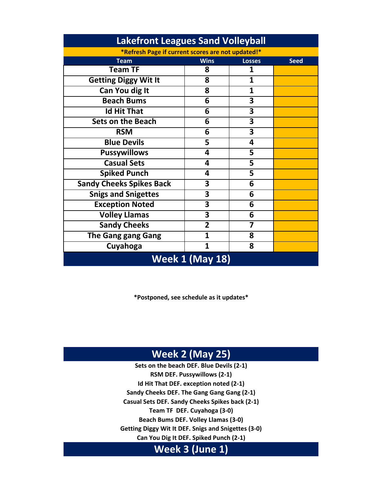| Lakefront Leagues Sand Volleyball                 |                |               |             |
|---------------------------------------------------|----------------|---------------|-------------|
| *Refresh Page if current scores are not updated!* |                |               |             |
| <b>Team</b>                                       | <b>Wins</b>    | <b>Losses</b> | <b>Seed</b> |
| <b>Team TF</b>                                    | 8              | 1             |             |
| <b>Getting Diggy Wit It</b>                       | 8              | 1             |             |
| Can You dig It                                    | 8              | 1             |             |
| <b>Beach Bums</b>                                 | 6              | 3             |             |
| <b>Id Hit That</b>                                | 6              | 3             |             |
| <b>Sets on the Beach</b>                          | 6              | 3             |             |
| <b>RSM</b>                                        | 6              | 3             |             |
| <b>Blue Devils</b>                                | 5              | 4             |             |
| <b>Pussywillows</b>                               | 4              | 5             |             |
| <b>Casual Sets</b>                                | 4              | 5             |             |
| <b>Spiked Punch</b>                               | 4              | 5             |             |
| <b>Sandy Cheeks Spikes Back</b>                   | 3              | 6             |             |
| <b>Snigs and Snigettes</b>                        | 3              | 6             |             |
| <b>Exception Noted</b>                            | 3              | 6             |             |
| <b>Volley Llamas</b>                              | 3              | 6             |             |
| <b>Sandy Cheeks</b>                               | $\overline{2}$ | 7             |             |
| <b>The Gang gang Gang</b>                         | 1              | 8             |             |
| Cuyahoga                                          | $\mathbf{1}$   | 8             |             |
| <b>Week 1 (May 18)</b>                            |                |               |             |

**Lakefront Leagues Sand Volleyball**

**\*Postponed, see schedule as it updates\***

# **Week 2 (May 25)**

**Casual Sets DEF. Sandy Cheeks Spikes back (2-1) Sets on the beach DEF. Blue Devils (2-1) RSM DEF. Pussywillows (2-1) Id Hit That DEF. exception noted (2-1) Sandy Cheeks DEF. The Gang Gang Gang (2-1) Team TF DEF. Cuyahoga (3-0) Beach Bums DEF. Volley Llamas (3-0) Getting Diggy Wit It DEF. Snigs and Snigettes (3-0) Can You Dig It DEF. Spiked Punch (2-1)**

## **Week 3 (June 1)**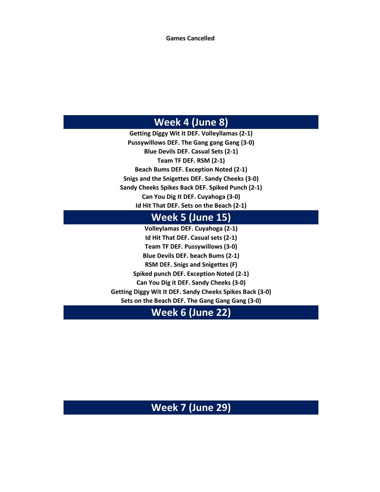**Games Cancelled** 

### **Week 4 (June 8)**

**Id Hit That DEF. Sets on the Beach (2-1) Getting Diggy Wit It DEF. Volleyllamas (2-1) Pussywillows DEF. The Gang gang Gang (3-0) Blue Devils DEF. Casual Sets (2-1) Team TF DEF. RSM (2-1) Beach Bums DEF. Exception Noted (2-1) Snigs and the Snigettes DEF. Sandy Cheeks (3-0) Sandy Cheeks Spikes Back DEF. Spiked Punch (2-1) Can You Dig It DEF. Cuyahoga (3-0)**

#### **Week 5 (June 15)**

**Volleylamas DEF. Cuyahoga (2-1) Id Hit That DEF. Casual sets (2-1) Team TF DEF. Pussywillows (3-0) Blue Devils DEF. beach Bums (2-1) RSM DEF. Snigs and Snigettes (F) Spiked punch DEF. Exception Noted (2-1) Can You Dig it DEF. Sandy Cheeks (3-0) Getting Diggy Wit It DEF. Sandy Cheeks Spikes Back (3-0) Sets on the Beach DEF. The Gang Gang Gang (3-0)**

### **Week 6 (June 22)**

**Week 7 (June 29)**